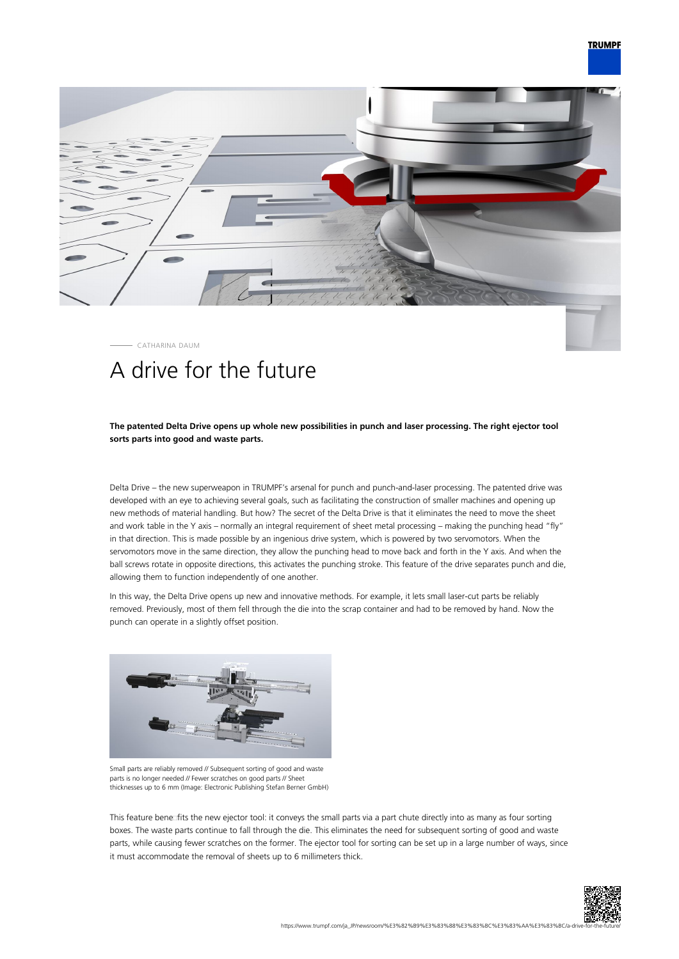

CATHARINA DAUM

## A drive for the future

## **The patented Delta Drive opens up whole new possibilities in punch and laser processing. The right ejector tool sorts parts into good and waste parts.**

Delta Drive – the new superweapon in TRUMPF's arsenal for punch and punch-and-laser processing. The patented drive was developed with an eye to achieving several goals, such as facilitating the construction of smaller machines and opening up new methods of material handling. But how? The secret of the Delta Drive is that it eliminates the need to move the sheet and work table in the Y axis – normally an integral requirement of sheet metal processing – making the punching head "fly" in that direction. This is made possible by an ingenious drive system, which is powered by two servomotors. When the servomotors move in the same direction, they allow the punching head to move back and forth in the Y axis. And when the ball screws rotate in opposite directions, this activates the punching stroke. This feature of the drive separates punch and die, allowing them to function independently of one another.

In this way, the Delta Drive opens up new and innovative methods. For example, it lets small laser-cut parts be reliably removed. Previously, most of them fell through the die into the scrap container and had to be removed by hand. Now the punch can operate in a slightly offset position.



Small parts are reliably removed // Subsequent sorting of good and waste parts is no longer needed // Fewer scratches on good parts // Sheet thicknesses up to 6 mm (Image: Electronic Publishing Stefan Berner GmbH)

This feature bene fits the new ejector tool: it conveys the small parts via a part chute directly into as many as four sorting boxes. The waste parts continue to fall through the die. This eliminates the need for subsequent sorting of good and waste parts, while causing fewer scratches on the former. The ejector tool for sorting can be set up in a large number of ways, since it must accommodate the removal of sheets up to 6 millimeters thick.